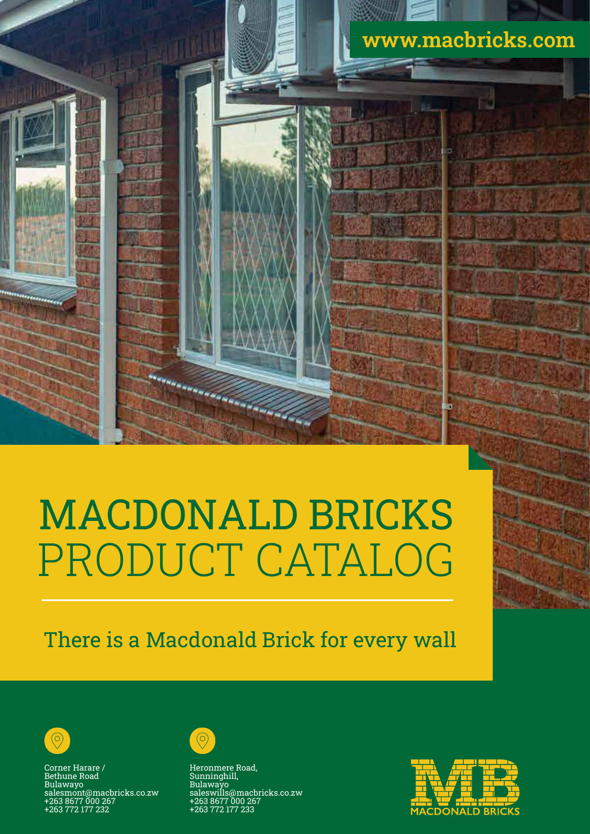

# MACDONALD BRICKS PRODUCT CATALOG

There is a Macdonald Brick for every wall



Corner Harare / Bethune Road Bulawayo salesmont@macbricks.co.zw +263 8677 000 267 +263 772 177 232



Heronmere Road, Sunninghill, Bulawayo saleswills@macbricks.co.zw +263 8677 000 267 +263 772 177 233

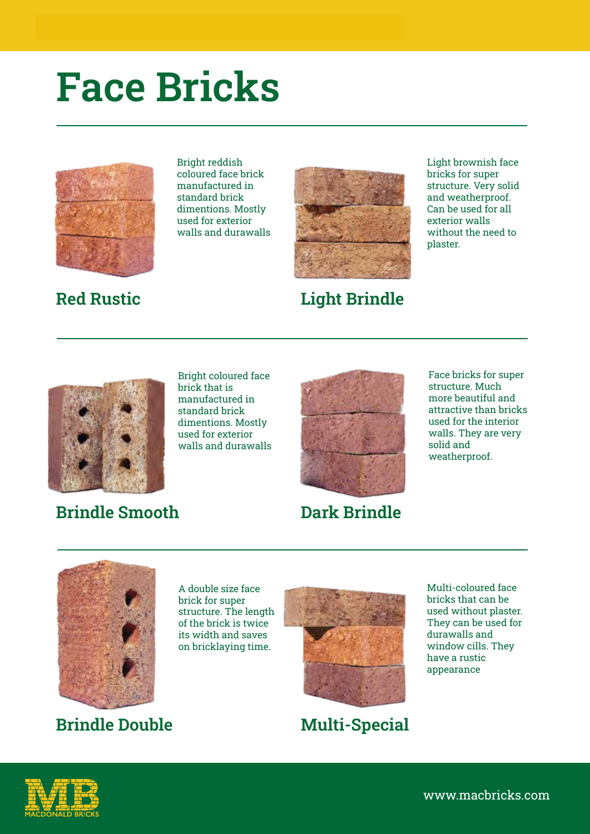## **Face Bricks**



Bright reddish coloured face brick manufactured in standard brick dimentions. Mostly used for exterior walls and durawalls



**Red Rustic Light Brindle**

Light brownish face bricks for super structure. Very solid and weatherproof. Can be used for all exterior walls without the need to plaster.



Bright coloured face brick that is manufactured in standard brick dimentions. Mostly used for exterior walls and durawalls



structure. Much more beautiful and attractive than bricks used for the interior walls. They are very solid and weatherproof.

Face bricks for super

### **Brindle Smooth**

**Dark Brindle**



**Brindle Double**

A double size face brick for super structure. The length of the brick is twice its width and saves on bricklaying time.



**Multi-Special**

Multi-coloured face bricks that can be used without plaster. They can be used for durawalls and window cills. They have a rustic appearance

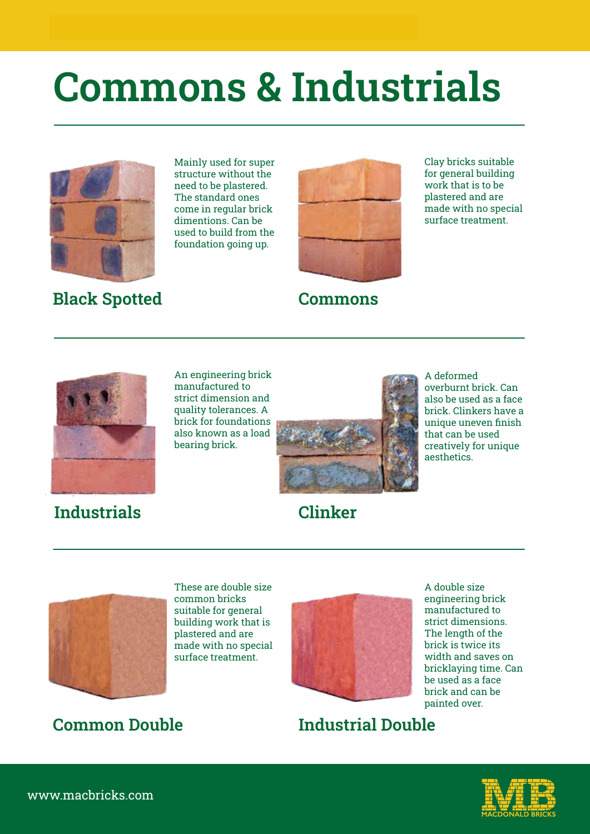# **Commons & Industrials**



### Mainly used for super structure without the need to be plastered. The standard ones come in regular brick dimentions. Can be used to build from the foundation going up.



**Black Spotted Commons**

Clay bricks suitable for general building work that is to be plastered and are made with no special surface treatment.



### **Industrials Clinker**

An engineering brick manufactured to strict dimension and quality tolerances. A brick for foundations also known as a load bearing brick.



A deformed overburnt brick. Can also be used as a face brick. Clinkers have a unique uneven finish that can be used creatively for unique aesthetics.



These are double size common bricks suitable for general building work that is plastered and are made with no special surface treatment.



A double size engineering brick manufactured to strict dimensions. The length of the brick is twice its width and saves on bricklaying time. Can be used as a face brick and can be painted over.

## **Common Double Industrial Double**



www.macbricks.com